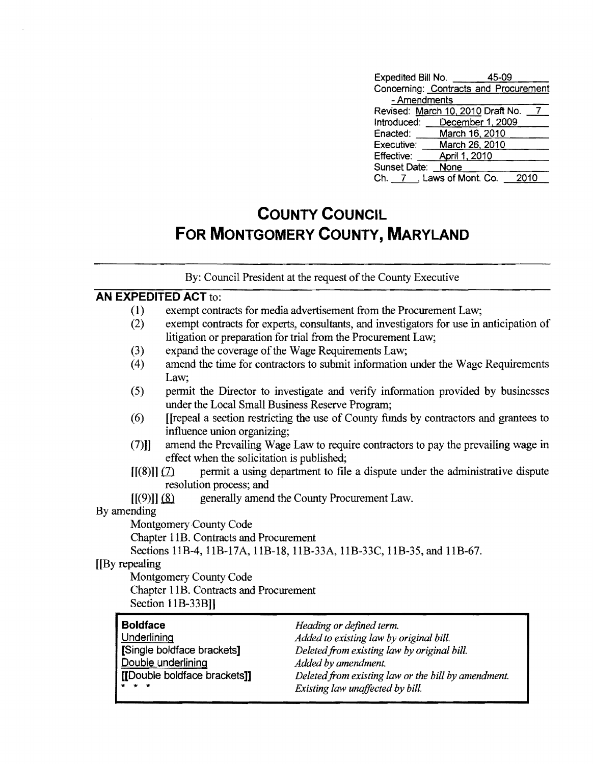| Expedited Bill No. | 45-09                                 |
|--------------------|---------------------------------------|
|                    | Concerning: Contracts and Procurement |
| - Amendments       |                                       |
|                    | Revised: March 10, 2010 Draft No.     |
| Introduced:        | December 1, 2009                      |
| Enacted:           | March 16, 2010                        |
| Executive:         | March 26, 2010                        |
| <b>Effective:</b>  | April 1, 2010                         |
| Sunset Date:       | None                                  |
|                    | Ch. 7 , Laws of Mont. Co.<br>2010     |

# **COUNTY COUNCIL FOR MONTGOMERY COUNTY, MARYLAND**

By: Council President at the request of the County Executive

#### **AN EXPEDITED ACT** to:

|                 | <b>AN EXPEDITED ACT to:</b>                |                                                                                         |
|-----------------|--------------------------------------------|-----------------------------------------------------------------------------------------|
| (1)             |                                            | exempt contracts for media advertisement from the Procurement Law;                      |
| (2)             |                                            | exempt contracts for experts, consultants, and investigators for use in anticipation of |
|                 |                                            | litigation or preparation for trial from the Procurement Law;                           |
| (3)             |                                            | expand the coverage of the Wage Requirements Law;                                       |
| (4)             |                                            | amend the time for contractors to submit information under the Wage Requirements        |
|                 | Law;                                       |                                                                                         |
| (5)             |                                            | permit the Director to investigate and verify information provided by businesses        |
|                 |                                            | under the Local Small Business Reserve Program;                                         |
| (6)             |                                            | [[repeal a section restricting the use of County funds by contractors and grantees to   |
|                 | influence union organizing;                |                                                                                         |
| $(7)$ ]         |                                            | amend the Prevailing Wage Law to require contractors to pay the prevailing wage in      |
|                 | effect when the solicitation is published; |                                                                                         |
|                 | $[[(8)]] (\mathcal{Z})$                    | permit a using department to file a dispute under the administrative dispute            |
|                 | resolution process; and                    |                                                                                         |
|                 | $[[(9)]]$ $(8)$                            | generally amend the County Procurement Law.                                             |
| By amending     |                                            |                                                                                         |
|                 | Montgomery County Code                     |                                                                                         |
|                 | Chapter 11B. Contracts and Procurement     |                                                                                         |
|                 |                                            | Sections 11B-4, 11B-17A, 11B-18, 11B-33A, 11B-33C, 11B-35, and 11B-67.                  |
| [By repealing]  |                                            |                                                                                         |
|                 | Montgomery County Code                     |                                                                                         |
|                 | Chapter 11B. Contracts and Procurement     |                                                                                         |
|                 | Section 11B-33B]]                          |                                                                                         |
|                 |                                            |                                                                                         |
| <b>Boldface</b> |                                            | Heading or defined term.                                                                |
| Underlining     |                                            | Added to existing law by original bill.                                                 |
|                 | [Single boldface brackets]                 | Deleted from existing law by original bill.                                             |
|                 | Double underlining                         | Added by amendment.                                                                     |
|                 | [[Double boldface brackets]]               | Deleted from existing law or the bill by amendment.                                     |

 $Existing$  law unaffected by bill.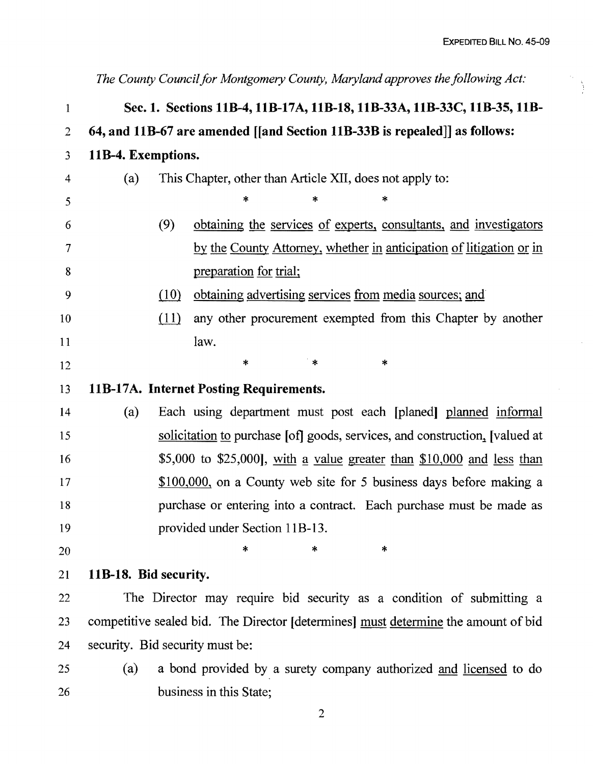À

1 2 3 4 5 6 7 8 9 10 11 12 13 14 15 16 17 18 19 20 21 22 23 24 25 26 *The County Council for Montgomery County, Maryland approves the following Act:*  Sec. 1. Sections 11B-4, 11B-17A, 11B-18, 11B-33A, 11B-33C, 11B-35, 11B-64, and llB-67 are amended [[and Section llB-33B is repealed]] as follows: 11B-4. Exemptions. (a) This Chapter, other than Article XII, does not apply to: \* \* \* (9) obtaining the services of experts, consultants, and investigators by the County Attorney, whether in anticipation of litigation or in preparation for trial;  $(10)$  obtaining advertising services from media sources; and  $(11)$  any other procurement exempted from this Chapter by another law. .\*  $*$   $*$   $*$ llB-l7A. Internet Posting Requirements. (a) Each using department must post each [planed] planned informal solicitation to purchase [of] goods, services, and construction, [valued at  $$5,000$  to  $$25,000$ , with a value greater than  $$10,000$  and less than \$100,000, on a County web site for 5 business days before making a purchase or entering into a contract. Each purchase must be made as provided under Section IIB-13. \* \* \* llB-lS. Bid security. The Director may require bid security as a condition of submitting a competitive sealed bid. The Director [determines] must determine the amount of bid security. Bid security must be: (a) a bond provided by a surety company authorized and licensed to do business in this State;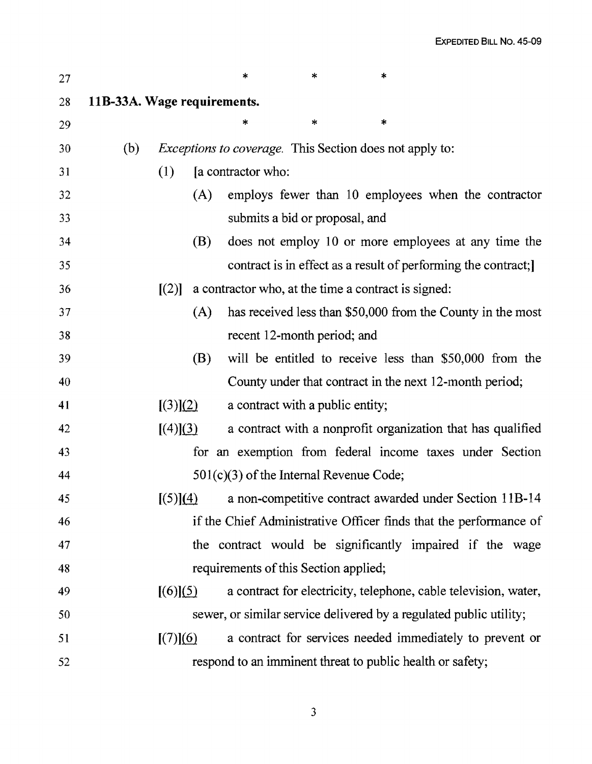| 27 |                             |          |     | $\ast$                                              | $\ast$ | *                                                                  |
|----|-----------------------------|----------|-----|-----------------------------------------------------|--------|--------------------------------------------------------------------|
| 28 | 11B-33A. Wage requirements. |          |     |                                                     |        |                                                                    |
| 29 |                             |          |     |                                                     | $\ast$ | *                                                                  |
| 30 | (b)                         |          |     |                                                     |        | <i>Exceptions to coverage.</i> This Section does not apply to:     |
| 31 |                             | (1)      |     | [a contractor who:                                  |        |                                                                    |
| 32 |                             |          | (A) |                                                     |        | employs fewer than 10 employees when the contractor                |
| 33 |                             |          |     | submits a bid or proposal, and                      |        |                                                                    |
| 34 |                             |          | (B) |                                                     |        | does not employ 10 or more employees at any time the               |
| 35 |                             |          |     |                                                     |        | contract is in effect as a result of performing the contract;      |
| 36 |                             | [(2)]    |     | a contractor who, at the time a contract is signed: |        |                                                                    |
| 37 |                             |          | (A) |                                                     |        | has received less than \$50,000 from the County in the most        |
| 38 |                             |          |     | recent 12-month period; and                         |        |                                                                    |
| 39 |                             |          | (B) |                                                     |        | will be entitled to receive less than \$50,000 from the            |
| 40 |                             |          |     |                                                     |        | County under that contract in the next 12-month period;            |
| 41 |                             | [(3)](2) |     | a contract with a public entity;                    |        |                                                                    |
| 42 |                             | [(4)](3) |     |                                                     |        | a contract with a nonprofit organization that has qualified        |
| 43 |                             |          |     |                                                     |        | for an exemption from federal income taxes under Section           |
| 44 |                             |          |     | 501(c)(3) of the Internal Revenue Code;             |        |                                                                    |
| 45 |                             |          |     |                                                     |        | $[(5)](4)$ a non-competitive contract awarded under Section 11B-14 |
| 46 |                             |          |     |                                                     |        | if the Chief Administrative Officer finds that the performance of  |
| 47 |                             |          |     |                                                     |        | the contract would be significantly impaired if the wage           |
| 48 |                             |          |     | requirements of this Section applied;               |        |                                                                    |
| 49 |                             | [(6)](5) |     |                                                     |        | a contract for electricity, telephone, cable television, water,    |
| 50 |                             |          |     |                                                     |        | sewer, or similar service delivered by a regulated public utility; |
| 51 |                             | [(7)](6) |     |                                                     |        | a contract for services needed immediately to prevent or           |
| 52 |                             |          |     |                                                     |        | respond to an imminent threat to public health or safety;          |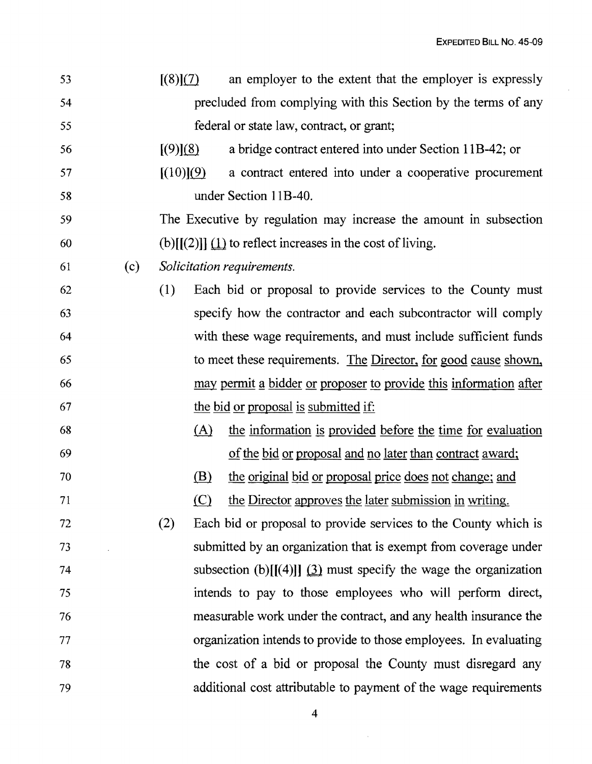$\sim$ 

| 53 |     | [(8)](7) |           | an employer to the extent that the employer is expressly                 |
|----|-----|----------|-----------|--------------------------------------------------------------------------|
| 54 |     |          |           | precluded from complying with this Section by the terms of any           |
| 55 |     |          |           | federal or state law, contract, or grant;                                |
| 56 |     | [(9)](8) |           | a bridge contract entered into under Section 11B-42; or                  |
| 57 |     |          | [(10)](9) | a contract entered into under a cooperative procurement                  |
| 58 |     |          |           | under Section 11B-40.                                                    |
| 59 |     |          |           | The Executive by regulation may increase the amount in subsection        |
| 60 |     |          |           | (b) $[[(2)]] \underline{1}$ to reflect increases in the cost of living.  |
| 61 | (c) |          |           | Solicitation requirements.                                               |
| 62 |     | (1)      |           | Each bid or proposal to provide services to the County must              |
| 63 |     |          |           | specify how the contractor and each subcontractor will comply            |
| 64 |     |          |           | with these wage requirements, and must include sufficient funds          |
| 65 |     |          |           | to meet these requirements. The Director, for good cause shown,          |
| 66 |     |          |           | <u>may permit a bidder or proposer to provide this information after</u> |
| 67 |     |          |           | the bid or proposal is submitted if:                                     |
| 68 |     |          | (A)       | the information is provided before the time for evaluation               |
| 69 |     |          |           | of the bid or proposal and no later than contract award;                 |
| 70 |     |          | (B)       | the <u>original</u> bid or proposal price does not change; and           |
| 71 |     |          | $\circ$   | the Director approves the later submission in writing.                   |
| 72 |     | (2)      |           | Each bid or proposal to provide services to the County which is          |
| 73 |     |          |           | submitted by an organization that is exempt from coverage under          |
| 74 |     |          |           | subsection (b)[[(4)]] $(3)$ must specify the wage the organization       |
| 75 |     |          |           | intends to pay to those employees who will perform direct,               |
| 76 |     |          |           | measurable work under the contract, and any health insurance the         |
| 77 |     |          |           | organization intends to provide to those employees. In evaluating        |
| 78 |     |          |           | the cost of a bid or proposal the County must disregard any              |
| 79 |     |          |           | additional cost attributable to payment of the wage requirements         |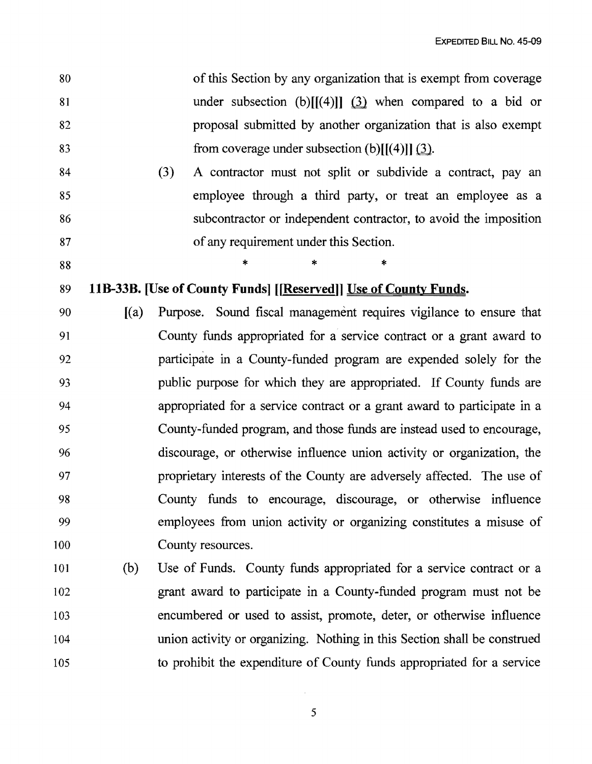| 80 | of this Section by any organization that is exempt from coverage |
|----|------------------------------------------------------------------|
| 81 | under subsection (b) $[[(4)]]$ $(3)$ when compared to a bid or   |
| 82 | proposal submitted by another organization that is also exempt   |
| 83 | from coverage under subsection (b) $[[(4)]]$ (3).                |

84 (3) A contractor must not split or subdivide a contract, pay an 85 employee through a third party, or treat an employee as a 86 subcontractor or independent contractor, to avoid the imposition 87 of any requirement under this Section.

 $88$  \* \* \* \*

# 89 11B-33B. [Use of County Funds] [[Reserved]] Use of County Funds.

- 90 [(a) Purpose. Sound fiscal management requires vigilance to ensure that 91 County funds appropriated for a service contract or a grant award to 92 participate in a County-funded program are expended solely for the 93 public purpose for which they are appropriated. If County funds are 94 appropriated for a service contract or a grant award to participate in a 95 County-funded program, and those funds are instead used to encourage, 96 discourage, or otherwise influence union activity or organization, the 97 proprietary interests of the County are adversely affected. The use of 98 County funds to encourage, discourage, or otherwise influence 99 employees from union activity or organizing constitutes a misuse of 100 County resources.
- 101 (b) Use of Funds. County funds appropriated for a service contract or a 102 grant award to participate in a County-funded program must not be 103 encumbered or used to assist, promote, deter, or otherwise influence 104 union activity or organizing. Nothing in this Section shall be construed 105 to prohibit the expenditure of County funds appropriated for a service

5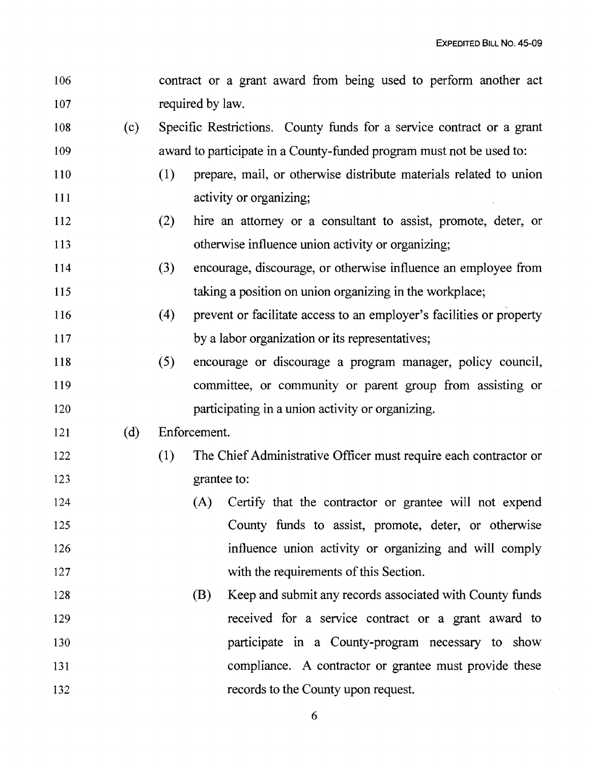| 107 |     |     | required by law.                                                      |
|-----|-----|-----|-----------------------------------------------------------------------|
| 108 | (c) |     | Specific Restrictions. County funds for a service contract or a grant |
| 109 |     |     | award to participate in a County-funded program must not be used to:  |
| 110 |     | (1) | prepare, mail, or otherwise distribute materials related to union     |
| 111 |     |     | activity or organizing;                                               |
| 112 |     | (2) | hire an attorney or a consultant to assist, promote, deter, or        |
| 113 |     |     | otherwise influence union activity or organizing;                     |
| 114 |     | (3) | encourage, discourage, or otherwise influence an employee from        |
| 115 |     |     | taking a position on union organizing in the workplace;               |
| 116 |     | (4) | prevent or facilitate access to an employer's facilities or property  |
| 117 |     |     | by a labor organization or its representatives;                       |
| 118 |     | (5) | encourage or discourage a program manager, policy council,            |
| 119 |     |     | committee, or community or parent group from assisting or             |
| 120 |     |     | participating in a union activity or organizing.                      |
| 121 | (d) |     | Enforcement.                                                          |
| 122 |     |     |                                                                       |
|     |     | (1) | The Chief Administrative Officer must require each contractor or      |
| 123 |     |     | grantee to:                                                           |
| 124 |     |     | Certify that the contractor or grantee will not expend<br>(A)         |
| 125 |     |     | County funds to assist, promote, deter, or otherwise                  |
| 126 |     |     | influence union activity or organizing and will comply                |
| 127 |     |     | with the requirements of this Section.                                |
| 128 |     |     | Keep and submit any records associated with County funds<br>(B)       |
| 129 |     |     | received for a service contract or a grant award to                   |
| 130 |     |     | participate in a County-program necessary to show                     |
| 131 |     |     | compliance. A contractor or grantee must provide these                |

106 contract or a grant award from being used to perform another act

6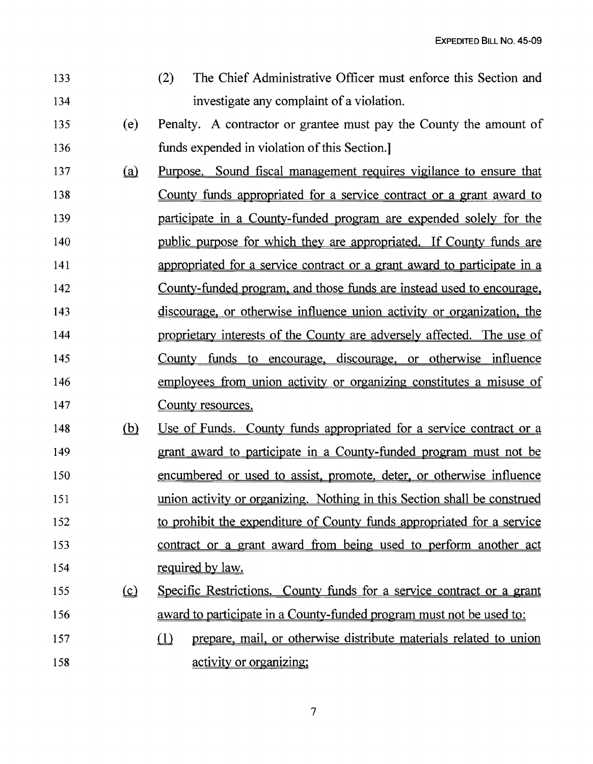EXPEDITED BILL No. 45-09

| 133 |          | The Chief Administrative Officer must enforce this Section and<br>(2)       |
|-----|----------|-----------------------------------------------------------------------------|
| 134 |          | investigate any complaint of a violation.                                   |
| 135 | (e)      | Penalty. A contractor or grantee must pay the County the amount of          |
| 136 |          | funds expended in violation of this Section.                                |
| 137 | (a)      | <u>Purpose. Sound fiscal management requires vigilance to ensure that</u>   |
| 138 |          | <u>County funds appropriated for a service contract or a grant award to</u> |
| 139 |          | participate in a County-funded program are expended solely for the          |
| 140 |          | public purpose for which they are appropriated. If County funds are         |
| 141 |          | appropriated for a service contract or a grant award to participate in a    |
| 142 |          | County-funded program, and those funds are instead used to encourage,       |
| 143 |          | discourage, or otherwise influence union activity or organization, the      |
| 144 |          | proprietary interests of the County are adversely affected. The use of      |
| 145 |          | County funds to encourage, discourage, or otherwise influence               |
| 146 |          | employees from union activity or organizing constitutes a misuse of         |
| 147 |          | County resources.                                                           |
| 148 | (b)      | Use of Funds. County funds appropriated for a service contract or a         |
| 149 |          | grant award to participate in a County-funded program must not be           |
| 150 |          | encumbered or used to assist, promote, deter, or otherwise influence        |
| 151 |          | union activity or organizing. Nothing in this Section shall be construed    |
| 152 |          | to prohibit the expenditure of County funds appropriated for a service      |
| 153 |          | contract or a grant award from being used to perform another act            |
| 154 |          | required by law.                                                            |
| 155 | $\Omega$ | Specific Restrictions. County funds for a service contract or a grant       |
| 156 |          | award to participate in a County-funded program must not be used to:        |
| 157 |          | prepare, mail, or otherwise distribute materials related to union<br>$\Box$ |
| 158 |          | activity or organizing;                                                     |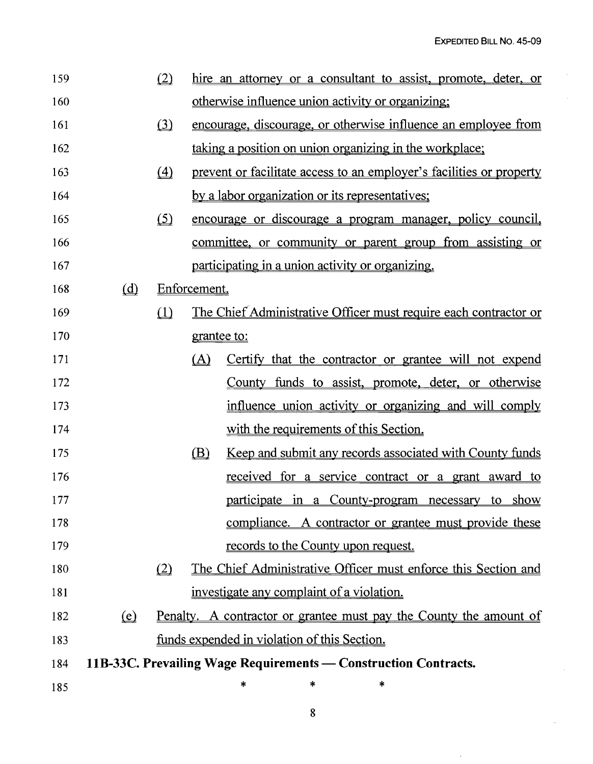$\overline{\phantom{a}}$ 

 $\bar{z}$ 

 $\bar{.}$ 

 $\hat{\mathcal{A}}$ 

| 159 |                                | (2)                 |              | hire an attorney or a consultant to assist, promote, deter, or            |
|-----|--------------------------------|---------------------|--------------|---------------------------------------------------------------------------|
| 160 |                                |                     |              | otherwise influence union activity or organizing;                         |
| 161 |                                | (3)                 |              | <u>encourage, discourage, or otherwise influence an employee from</u>     |
| 162 |                                |                     |              | taking a position on union organizing in the workplace;                   |
| 163 |                                | $\langle 4 \rangle$ |              | prevent or facilitate access to an employer's facilities or property      |
| 164 |                                |                     |              | by a labor organization or its representatives;                           |
| 165 |                                | (5)                 |              | <u>encourage or discourage a program manager, policy council,</u>         |
| 166 |                                |                     |              | committee, or community or parent group from assisting or                 |
| 167 |                                |                     |              | participating in a union activity or organizing.                          |
| 168 | (d)                            |                     | Enforcement. |                                                                           |
| 169 |                                | (1)                 |              | The Chief Administrative Officer must require each contractor or          |
| 170 |                                |                     | grantee to:  |                                                                           |
| 171 |                                |                     | (A)          | Certify that the contractor or grantee will not expend                    |
| 172 |                                |                     |              | County funds to assist, promote, deter, or otherwise                      |
| 173 |                                |                     |              | influence union activity or organizing and will comply                    |
| 174 |                                |                     |              | with the requirements of this Section.                                    |
| 175 |                                |                     | (B)          | Keep and submit any records associated with County funds                  |
| 176 |                                |                     |              | <u>received for a service contract or a grant award to</u>                |
| 177 |                                |                     |              | participate in a County-program necessary to show                         |
| 178 |                                |                     |              | compliance. A contractor or grantee must provide these                    |
| 179 |                                |                     |              | records to the County upon request.                                       |
| 180 |                                | (2)                 |              | The Chief Administrative Officer must enforce this Section and            |
| 181 |                                |                     |              | investigate any complaint of a violation.                                 |
| 182 | $\left( \underline{e} \right)$ |                     |              | <u>Penalty. A contractor or grantee must pay the County the amount of</u> |
| 183 |                                |                     |              | <u>funds expended in violation of this Section.</u>                       |
| 184 |                                |                     |              | 11B-33C. Prevailing Wage Requirements — Construction Contracts.           |
| 185 |                                |                     |              | ∗<br>*<br>$\ast$                                                          |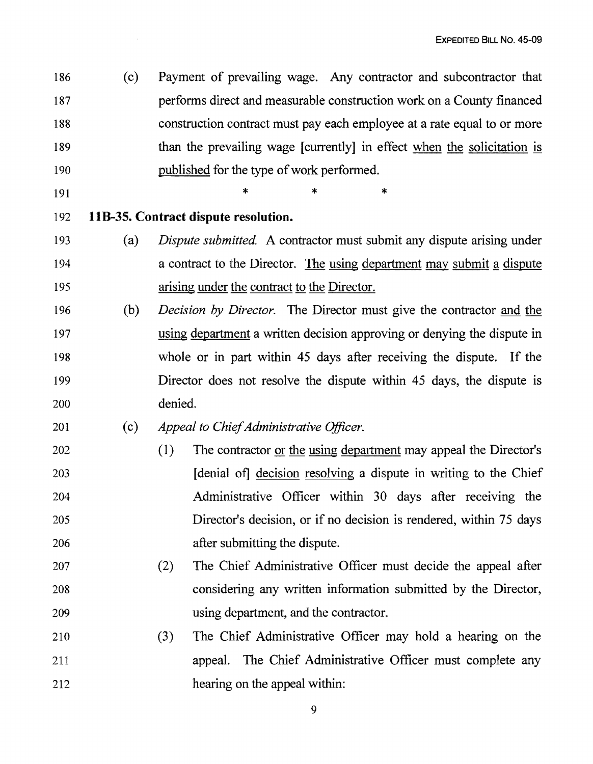186 (c) Payment of prevailing wage. Any contractor and subcontractor that 187 performs direct and measurable construction work on a County financed 188 construction contract must pay each employee at a rate equal to or more 189 than the prevailing wage [currently] in effect when the solicitation is 190 published for the type of work performed.

191  $*$  \* \* \*

## 192 **IlB-35. Contract dispute resolution.**

- 193 (a) *Dispute submitted.* A contractor must submit any dispute arising under 194 a contract to the Director. The using department may submit a dispute 195 arising under the contract to the Director.
- 196 (b) *Decision by Director.* The Director must give the contractor and the 197 using department a written decision approving or denying the dispute in 198 whole or in part within 45 days after receiving the dispute. If the 199 Director does not resolve the dispute within 45 days, the dispute is 200 denied.

### 201 (c) *Appeal to Chief Administrative Officer.*

- 202 (1) The contractor or the using department may appeal the Director's 203 [denial of] decision resolving a dispute in writing to the Chief 204 Administrative Officer within 30 days after receiving the 205 Director's decision, or if no decision is rendered, within 75 days 206 **after submitting the dispute.**
- 207 (2) The Chief Administrative Officer must decide the appeal after 208 considering any written information submitted by the Director, 209 using department, and the contractor.
- 210 (3) The Chief Administrative Officer may hold a hearing on the 211 appeal. The Chief Administrative Officer must complete any 212 hearing on the appeal within:

9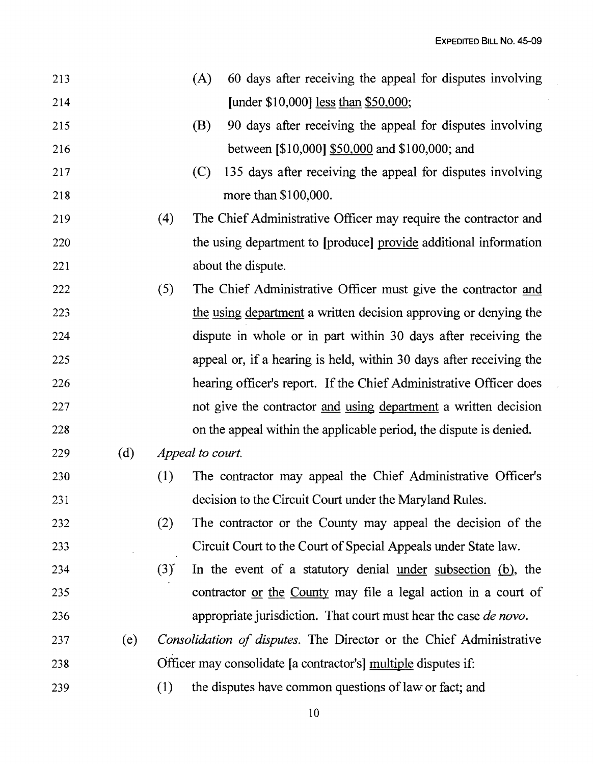EXPEDITED BILL No. 45-09

 $\bar{\tau}$ 

 $\mathcal{A}$ 

| 213 |     |                 | 60 days after receiving the appeal for disputes involving<br>(A)           |
|-----|-----|-----------------|----------------------------------------------------------------------------|
| 214 |     |                 | [under \$10,000] <u>less</u> than \$50,000;                                |
| 215 |     |                 | 90 days after receiving the appeal for disputes involving<br>(B)           |
| 216 |     |                 | between [\$10,000] \$50,000 and \$100,000; and                             |
| 217 |     |                 | 135 days after receiving the appeal for disputes involving<br>(C)          |
| 218 |     |                 | more than \$100,000.                                                       |
| 219 |     | (4)             | The Chief Administrative Officer may require the contractor and            |
| 220 |     |                 | the using department to [produce] provide additional information           |
| 221 |     |                 | about the dispute.                                                         |
| 222 |     | (5)             | The Chief Administrative Officer must give the contractor and              |
| 223 |     |                 | the using department a written decision approving or denying the           |
| 224 |     |                 | dispute in whole or in part within 30 days after receiving the             |
| 225 |     |                 | appeal or, if a hearing is held, within 30 days after receiving the        |
| 226 |     |                 | hearing officer's report. If the Chief Administrative Officer does         |
| 227 |     |                 | not give the contractor and using department a written decision            |
| 228 |     |                 | on the appeal within the applicable period, the dispute is denied.         |
| 229 | (d) |                 | Appeal to court.                                                           |
| 230 |     | (1)             | The contractor may appeal the Chief Administrative Officer's               |
| 231 |     |                 | decision to the Circuit Court under the Maryland Rules.                    |
| 232 |     | (2)             | The contractor or the County may appeal the decision of the                |
| 233 |     |                 | Circuit Court to the Court of Special Appeals under State law.             |
| 234 |     | $(3)^{\degree}$ | In the event of a statutory denial <u>under subsection</u> (b), the        |
| 235 |     |                 | contractor <u>or the County</u> may file a legal action in a court of      |
| 236 |     |                 | appropriate jurisdiction. That court must hear the case de novo.           |
| 237 | (e) |                 | <i>Consolidation of disputes.</i> The Director or the Chief Administrative |
| 238 |     |                 | Officer may consolidate [a contractor's] multiple disputes if:             |
| 239 |     | (1)             | the disputes have common questions of law or fact; and                     |